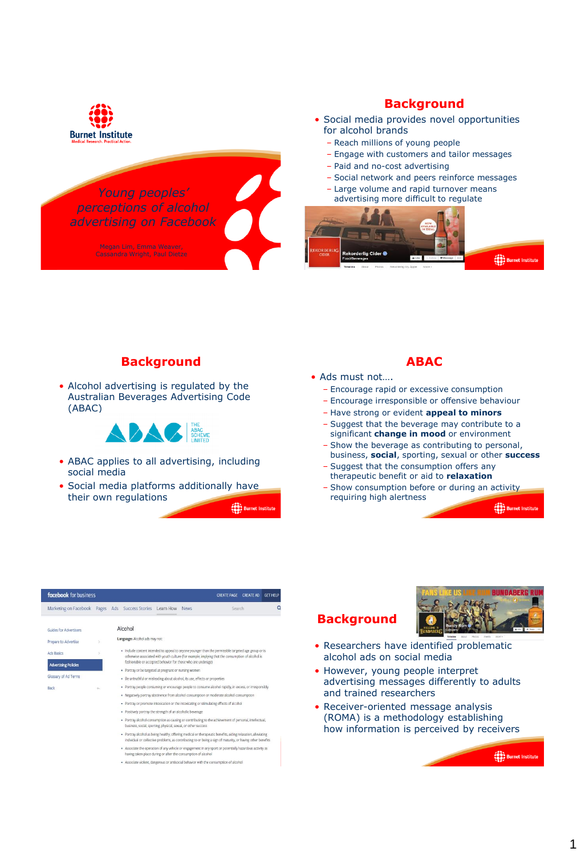

*Young peoples' perceptions of alcohol advertising on Facebook*

# **Background**

- Social media provides novel opportunities for alcohol brands
	- Reach millions of young people
	- Engage with customers and tailor messages
	- Paid and no-cost advertising
	- Social network and peers reinforce messages
	- Large volume and rapid turnover means advertising more difficult to regulate



#### **Background**

• Alcohol advertising is regulated by the Australian Beverages Advertising Code (ABAC)



- ABAC applies to all advertising, including social media
- Social media platforms additionally have their own regulations

**COOP** Burnet Instit

#### **ABAC**

- Ads must not….
	- Encourage rapid or excessive consumption
	- Encourage irresponsible or offensive behaviour
	- Have strong or evident **appeal to minors**
	- Suggest that the beverage may contribute to a significant **change in mood** or environment
	- Show the beverage as contributing to personal, business, **social**, sporting, sexual or other **success**
	- Suggest that the consumption offers any therapeutic benefit or aid to **relaxation**
	- Show consumption before or during an activity requiring high alertness

(88) Burnet Insti

| facebook for business                                          |        |                                                                                                                                                                                                           |                                                                             |  |  | GFT HFLP<br><b>CREATE PAGE</b><br><b>CREATE AD</b>                                                                                                                                                                          |  |   |
|----------------------------------------------------------------|--------|-----------------------------------------------------------------------------------------------------------------------------------------------------------------------------------------------------------|-----------------------------------------------------------------------------|--|--|-----------------------------------------------------------------------------------------------------------------------------------------------------------------------------------------------------------------------------|--|---|
| Marketing on Facebook Pages Ads Success Stories Learn How News |        |                                                                                                                                                                                                           |                                                                             |  |  | Search                                                                                                                                                                                                                      |  | Q |
| Guides for Advertisers                                         |        |                                                                                                                                                                                                           | Alcohol                                                                     |  |  |                                                                                                                                                                                                                             |  |   |
| Prepare to Advertise                                           |        |                                                                                                                                                                                                           | Language: Alcohol ads may not:                                              |  |  |                                                                                                                                                                                                                             |  |   |
| <b>Ads Basics</b>                                              |        | · Include content intended to appeal to anyone younger than the permissible targeted age group or is<br>otherwise associated with youth culture (for example, implying that the consumption of alcohol is |                                                                             |  |  |                                                                                                                                                                                                                             |  |   |
| <b>Advertising Policies</b>                                    |        |                                                                                                                                                                                                           | fashionable or accepted behavior for those who are underage)                |  |  |                                                                                                                                                                                                                             |  |   |
|                                                                |        |                                                                                                                                                                                                           | · Portray or be targeted at pregnant or nursing women                       |  |  |                                                                                                                                                                                                                             |  |   |
| Glossary of Ad Terms                                           |        |                                                                                                                                                                                                           | · Be untruthful or misleading about alcohol, its use, effects or properties |  |  |                                                                                                                                                                                                                             |  |   |
| Back                                                           | $\sim$ | . Portray people consuming or encourage people to consume alcohol rapidly, in excess, or irresponsibly                                                                                                    |                                                                             |  |  |                                                                                                                                                                                                                             |  |   |
|                                                                |        | . Negatively portray abstinence from alcohol consumption or moderate alcohol consumption                                                                                                                  |                                                                             |  |  |                                                                                                                                                                                                                             |  |   |
|                                                                |        |                                                                                                                                                                                                           |                                                                             |  |  | · Portray or promote intoxication or the intoxicating or stimulating effects of alcohol                                                                                                                                     |  |   |
|                                                                |        | · Positively portray the strength of an alcoholic beyerage                                                                                                                                                |                                                                             |  |  |                                                                                                                                                                                                                             |  |   |
|                                                                |        | . Portray alcohol consumption as causing or contributing to the achievement of personal, intellectual,<br>business, social, sporting, physical, sexual, or other success                                  |                                                                             |  |  |                                                                                                                                                                                                                             |  |   |
|                                                                |        |                                                                                                                                                                                                           |                                                                             |  |  | · Portray alcohol as being healthy, offering medical or therapeutic benefits, aiding relaxation, alleviating<br>individual or collective problems, as contributing to or being a sign of maturity, or having other benefits |  |   |
|                                                                |        |                                                                                                                                                                                                           | having taken place during or after the consumption of alcohol               |  |  | . Associate the operation of any vehicle or engagement in any sport or potentially hazardous activity as                                                                                                                    |  |   |
|                                                                |        |                                                                                                                                                                                                           |                                                                             |  |  |                                                                                                                                                                                                                             |  |   |

Associate violent, dangerous or antisocial behavior with the consumption of alcohol





- Researchers have identified problematic alcohol ads on social media
- However, young people interpret advertising messages differently to adults and trained researchers
- Receiver-oriented message analysis (ROMA) is a methodology establishing how information is perceived by receivers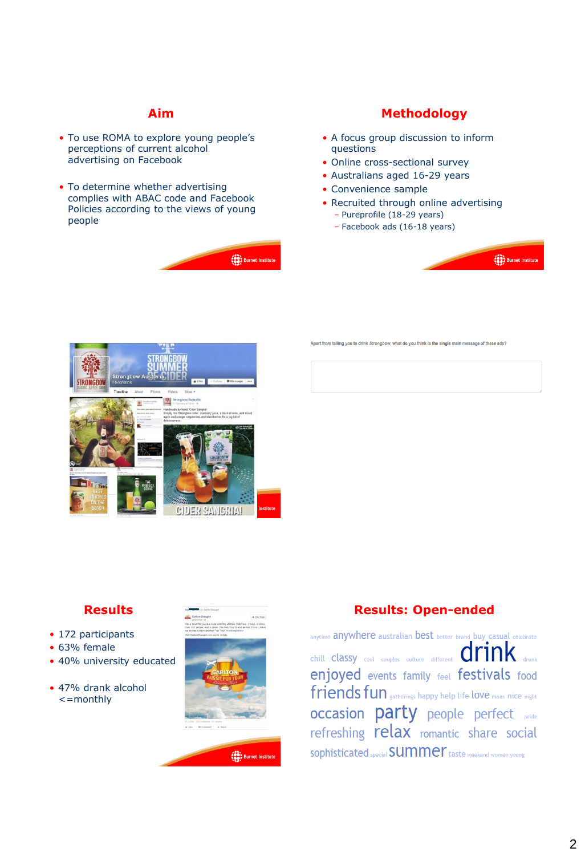#### **Aim**

- To use ROMA to explore young people's perceptions of current alcohol advertising on Facebook
- To determine whether advertising complies with ABAC code and Facebook Policies according to the views of young people



# **Methodology**

- A focus group discussion to inform questions
- Online cross-sectional survey
- Australians aged 16-29 years
- Convenience sample
- Recruited through online advertising
	- Pureprofile (18-29 years)
	- Facebook ads (16-18 years)



Apart from telling you to drink Strongbow, what do you think is the single main message of these ads?



# **Results**

- 172 participants
- 63% female
- 40% university educated
- 47% drank alcohol <=monthly



# **Results: Open-ended**

anytime anywhere australian best better brand buy casual celebrate  $\begin{picture}(160,175)(-0.0000,0.0000,0.0000,0.0000,0.0000,0.0000,0.0000,0.0000,0.0000,0.0000,0.0000,0.0000,0.0000,0.0000,0.0000,0.0000,0.0000,0.0000,0.0000,0.0000,0.0000,0.0000,0.0000,0.0000,0.0000,0.0000,0.0000,0.0000,0.0000,0.0$ enjoyed events family feel festivals food friends fun extherings happy help life love mans nice night occasion party people perfect pride refreshing relax romantic share social sophisticated special **SUMMer** taste weekend women young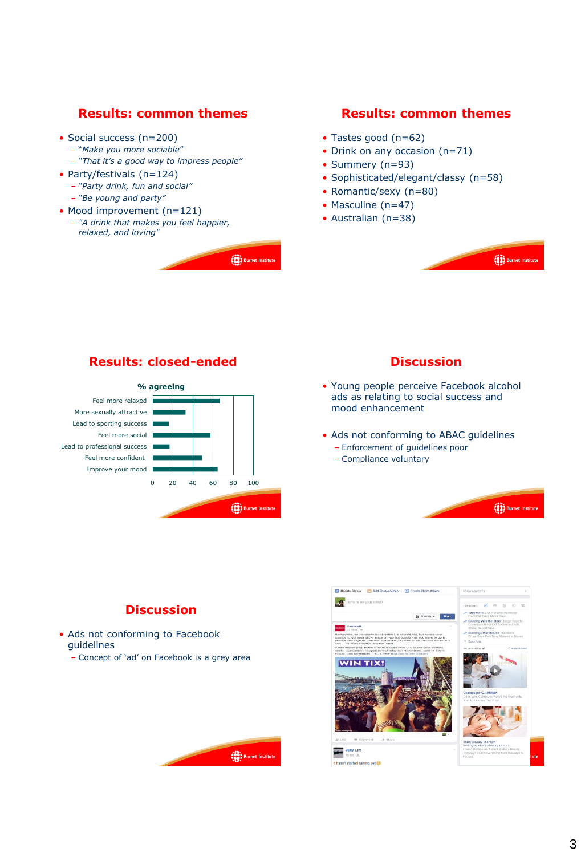## **Results: common themes**

- Social success (n=200)
	- "*Make you more sociable*"
	- *"That it's a good way to impress people"*
- Party/festivals (n=124)
	- *"Party drink, fun and social"* – *"Be young and party"*
- Mood improvement (n=121)
- *"A drink that makes you feel happier, relaxed, and loving"*



#### **Results: common themes**

- Tastes good (n=62)
- Drink on any occasion (n=71)
- Summery (n=93)
- Sophisticated/elegant/classy (n=58)
- Romantic/sexy (n=80)
- Masculine (n=47)
- Australian (n=38)



## **Results: closed-ended**



## **Discussion**

- Young people perceive Facebook alcohol ads as relating to social success and mood enhancement
- Ads not conforming to ABAC guidelines – Enforcement of guidelines poor
	- Compliance voluntary
	-



## **Discussion**

- Ads not conforming to Facebook guidelines
	- Concept of 'ad' on Facebook is a grey area

(88)<br>Burnet Instit